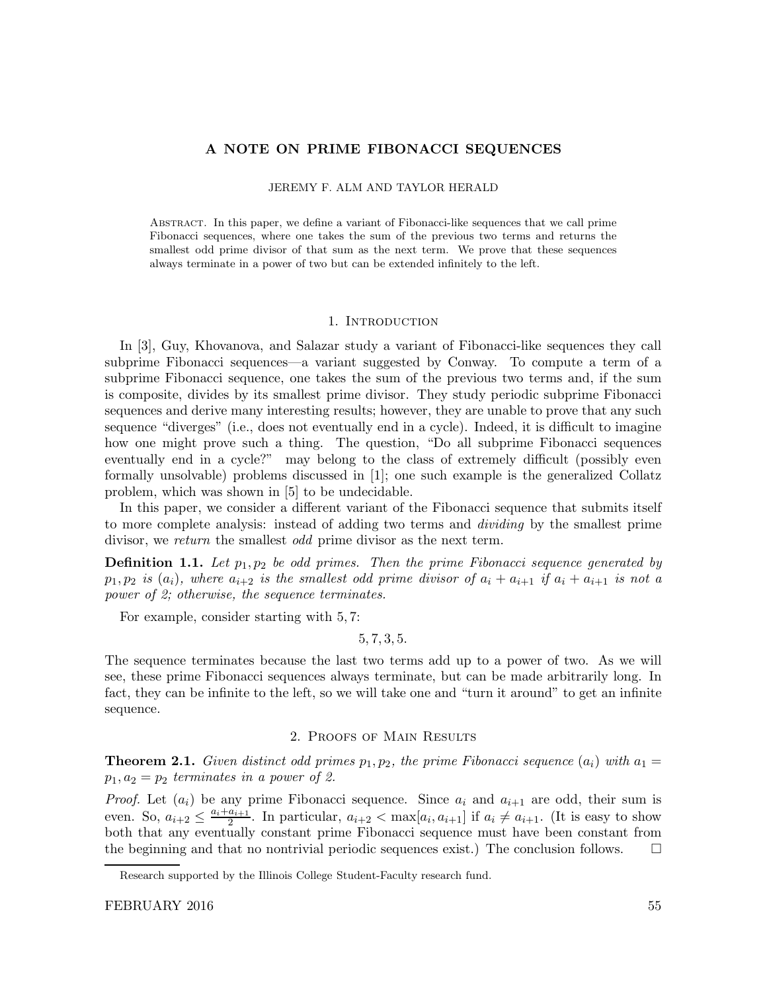# A NOTE ON PRIME FIBONACCI SEQUENCES

#### JEREMY F. ALM AND TAYLOR HERALD

Abstract. In this paper, we define a variant of Fibonacci-like sequences that we call prime Fibonacci sequences, where one takes the sum of the previous two terms and returns the smallest odd prime divisor of that sum as the next term. We prove that these sequences always terminate in a power of two but can be extended infinitely to the left.

#### 1. INTRODUCTION

In [3], Guy, Khovanova, and Salazar study a variant of Fibonacci-like sequences they call subprime Fibonacci sequences—a variant suggested by Conway. To compute a term of a subprime Fibonacci sequence, one takes the sum of the previous two terms and, if the sum is composite, divides by its smallest prime divisor. They study periodic subprime Fibonacci sequences and derive many interesting results; however, they are unable to prove that any such sequence "diverges" (i.e., does not eventually end in a cycle). Indeed, it is difficult to imagine how one might prove such a thing. The question, "Do all subprime Fibonacci sequences eventually end in a cycle?" may belong to the class of extremely difficult (possibly even formally unsolvable) problems discussed in [1]; one such example is the generalized Collatz problem, which was shown in [5] to be undecidable.

In this paper, we consider a different variant of the Fibonacci sequence that submits itself to more complete analysis: instead of adding two terms and dividing by the smallest prime divisor, we return the smallest odd prime divisor as the next term.

**Definition 1.1.** Let  $p_1, p_2$  be odd primes. Then the prime Fibonacci sequence generated by  $p_1, p_2$  is  $(a_i)$ , where  $a_{i+2}$  is the smallest odd prime divisor of  $a_i + a_{i+1}$  if  $a_i + a_{i+1}$  is not a power of 2; otherwise, the sequence terminates.

For example, consider starting with 5, 7:

5, 7, 3, 5.

The sequence terminates because the last two terms add up to a power of two. As we will see, these prime Fibonacci sequences always terminate, but can be made arbitrarily long. In fact, they can be infinite to the left, so we will take one and "turn it around" to get an infinite sequence.

# 2. Proofs of Main Results

**Theorem 2.1.** Given distinct odd primes  $p_1, p_2$ , the prime Fibonacci sequence  $(a_i)$  with  $a_1 =$  $p_1, a_2 = p_2$  terminates in a power of 2.

*Proof.* Let  $(a_i)$  be any prime Fibonacci sequence. Since  $a_i$  and  $a_{i+1}$  are odd, their sum is even. So,  $a_{i+2} \leq \frac{a_i + a_{i+1}}{2}$  $\frac{a_{i+1}}{2}$ . In particular,  $a_{i+2} < \max[a_i, a_{i+1}]$  if  $a_i \neq a_{i+1}$ . (It is easy to show both that any eventually constant prime Fibonacci sequence must have been constant from the beginning and that no nontrivial periodic sequences exist.) The conclusion follows.  $\square$ 

Research supported by the Illinois College Student-Faculty research fund.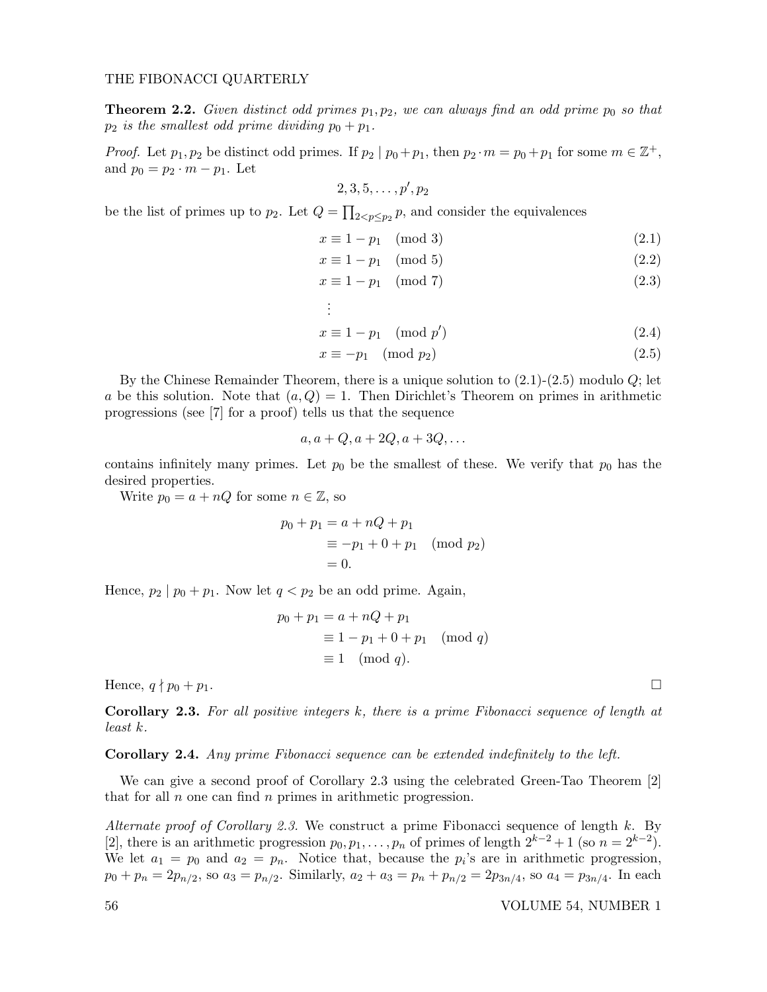### THE FIBONACCI QUARTERLY

**Theorem 2.2.** Given distinct odd primes  $p_1, p_2$ , we can always find an odd prime  $p_0$  so that  $p_2$  is the smallest odd prime dividing  $p_0 + p_1$ .

*Proof.* Let  $p_1, p_2$  be distinct odd primes. If  $p_2 | p_0 + p_1$ , then  $p_2 \cdot m = p_0 + p_1$  for some  $m \in \mathbb{Z}^+$ , and  $p_0 = p_2 \cdot m - p_1$ . Let

$$
2,3,5,\ldots,p',p_2
$$

be the list of primes up to  $p_2$ . Let  $Q = \prod_{2 < p \leq p_2} p$ , and consider the equivalences

$$
x \equiv 1 - p_1 \pmod{3} \tag{2.1}
$$

$$
x \equiv 1 - p_1 \pmod{5} \tag{2.2}
$$

$$
x \equiv 1 - p_1 \pmod{7} \tag{2.3}
$$

$$
\mathbb{E}[\mathcal{L}(\mathcal{L}(\mathcal{L}(\mathcal{L}(\mathcal{L}(\mathcal{L}(\mathcal{L}(\mathcal{L}(\mathcal{L}(\mathcal{L}(\mathcal{L}(\mathcal{L}(\mathcal{L}(\mathcal{L}(\mathcal{L}(\mathcal{L}(\mathcal{L}(\mathcal{L}(\mathcal{L}(\mathcal{L}(\mathcal{L}(\mathcal{L}(\mathcal{L}(\mathcal{L}(\mathcal{L}(\mathcal{L}(\mathcal{L}(\mathcal{L}(\mathcal{L}(\mathcal{L}(\mathcal{L}(\mathcal{L}(\mathcal{L}(\mathcal{L}(\mathcal{L}(\mathcal{L}(\mathcal{L}(\mathcal{L}(\mathcal{L}(\mathcal{L}(\mathcal{L}(\mathcal{L}(\mathcal{L}(\mathcal{L}(\mathcal{L}(\mathcal{L}(\mathcal{L}(\mathcal{L}(\mathcal{L}(\mathcal{L}(\mathcal{L}(\mathcal{L}(\mathcal{L}(\mathcal{L}(\mathcal{L}(\mathcal{L}(\mathcal{L}(\mathcal{L}(\mathcal{L}(\mathcal{L}(\mathcal{L}(\mathcal{L}(\mathcal{L}(\mathcal{L}(\mathcal{L}(\mathcal{L}(\mathcal{L}(\mathcal{L}(\mathcal{L}(\mathcal{L}(\mathcal{L}(\mathcal{L}(\mathcal{L}(\mathcal{L}(\mathcal{L}(\mathcal{L}(\mathcal{L}(\mathcal{L}(\mathcal{L}(\mathcal{L}(\mathcal{L}(\mathcal{L}(\mathcal{L}(\mathcal{L}(\mathcal{L}(\mathcal{L}(\mathcal{L}(\mathcal{L}(\mathcal{L}(\mathcal{L}(\mathcal{L}(\mathcal{L}(\mathcal{L}(\mathcal{L}(\mathcal{L}(\mathcal{L}(\mathcal{L}(\mathcal{L}(\mathcal{L}(\mathcal{L}(\mathcal{L}(\mathcal{L}(\mathcal{L}(\mathcal{L}(\mathcal{L}(\mathcal{L}(\mathcal{L}(\mathcal{L}(\mathcal{L}(\mathcal{L}(\mathcal{L}(\mathcal{L}(\mathcal{L}(\mathcal{L}(\mathcal{L}(\mathcal{L}(\mathcal{L}(\mathcal{L}(\mathcal{L}(\mathcal{L}(\mathcal{L}(\mathcal{L}(\mathcal{L}(\mathcal{L}(\mathcal{L}(\mathcal{
$$

$$
x \equiv 1 - p_1 \pmod{p'}
$$
 (2.4)

$$
x \equiv -p_1 \pmod{p_2} \tag{2.5}
$$

By the Chinese Remainder Theorem, there is a unique solution to  $(2.1)-(2.5)$  modulo  $Q$ ; let a be this solution. Note that  $(a, Q) = 1$ . Then Dirichlet's Theorem on primes in arithmetic progressions (see [7] for a proof) tells us that the sequence

$$
a, a+Q, a+2Q, a+3Q, \dots
$$

contains infinitely many primes. Let  $p_0$  be the smallest of these. We verify that  $p_0$  has the desired properties.

Write  $p_0 = a + nQ$  for some  $n \in \mathbb{Z}$ , so

$$
p_0 + p_1 = a + nQ + p_1
$$
  
\n
$$
\equiv -p_1 + 0 + p_1 \pmod{p_2}
$$
  
\n
$$
= 0.
$$

Hence,  $p_2 | p_0 + p_1$ . Now let  $q < p_2$  be an odd prime. Again,

$$
p_0 + p_1 = a + nQ + p_1
$$
  
\n
$$
\equiv 1 - p_1 + 0 + p_1 \pmod{q}
$$
  
\n
$$
\equiv 1 \pmod{q}.
$$

Hence,  $q \nmid p_0 + p_1$ .

**Corollary 2.3.** For all positive integers  $k$ , there is a prime Fibonacci sequence of length at least k.

#### Corollary 2.4. Any prime Fibonacci sequence can be extended indefinitely to the left.

We can give a second proof of Corollary 2.3 using the celebrated Green-Tao Theorem [2] that for all  $n$  one can find  $n$  primes in arithmetic progression.

Alternate proof of Corollary 2.3. We construct a prime Fibonacci sequence of length  $k$ . By [2], there is an arithmetic progression  $p_0, p_1, \ldots, p_n$  of primes of length  $2^{k-2} + 1$  (so  $n = 2^{k-2}$ ). We let  $a_1 = p_0$  and  $a_2 = p_n$ . Notice that, because the  $p_i$ 's are in arithmetic progression,  $p_0 + p_n = 2p_{n/2}$ , so  $a_3 = p_{n/2}$ . Similarly,  $a_2 + a_3 = p_n + p_{n/2} = 2p_{3n/4}$ , so  $a_4 = p_{3n/4}$ . In each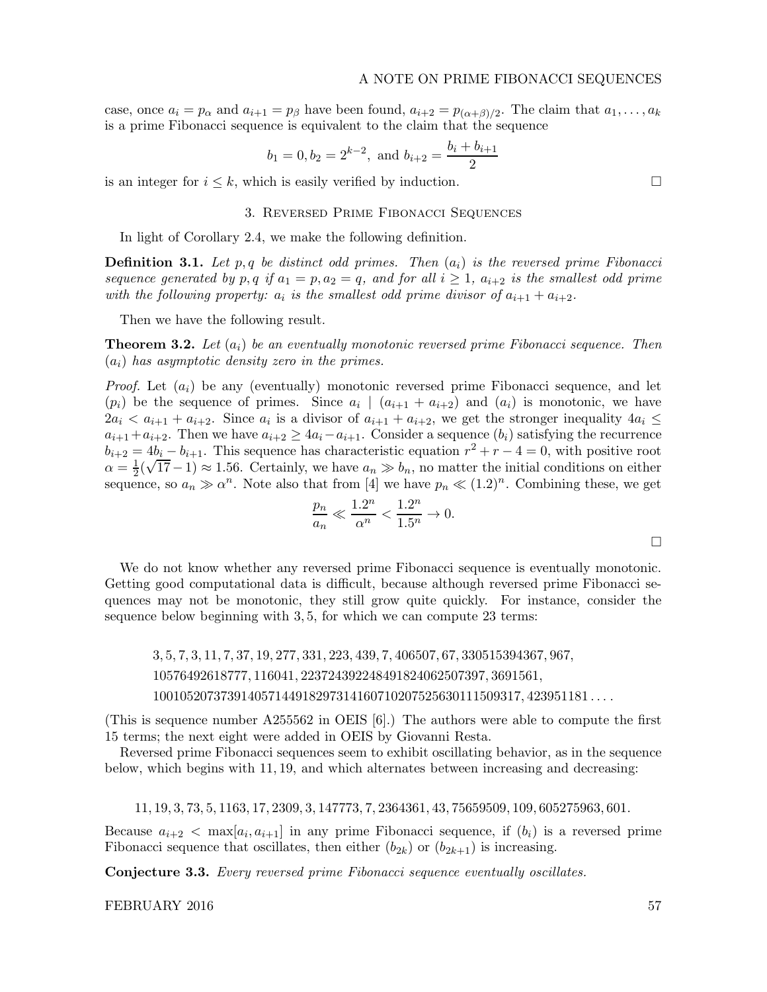case, once  $a_i = p_\alpha$  and  $a_{i+1} = p_\beta$  have been found,  $a_{i+2} = p_{(\alpha+\beta)/2}$ . The claim that  $a_1, \ldots, a_k$ is a prime Fibonacci sequence is equivalent to the claim that the sequence

$$
b_1 = 0, b_2 = 2^{k-2}
$$
, and  $b_{i+2} = \frac{b_i + b_{i+1}}{2}$ 

is an integer for  $i \leq k$ , which is easily verified by induction.

## 3. Reversed Prime Fibonacci Sequences

In light of Corollary 2.4, we make the following definition.

**Definition 3.1.** Let p,q be distinct odd primes. Then  $(a_i)$  is the reversed prime Fibonacci sequence generated by p, q if  $a_1 = p, a_2 = q$ , and for all  $i \geq 1$ ,  $a_{i+2}$  is the smallest odd prime with the following property:  $a_i$  is the smallest odd prime divisor of  $a_{i+1} + a_{i+2}$ .

Then we have the following result.

**Theorem 3.2.** Let  $(a_i)$  be an eventually monotonic reversed prime Fibonacci sequence. Then  $(a_i)$  has asymptotic density zero in the primes.

*Proof.* Let  $(a_i)$  be any (eventually) monotonic reversed prime Fibonacci sequence, and let  $(p_i)$  be the sequence of primes. Since  $a_i \mid (a_{i+1} + a_{i+2})$  and  $(a_i)$  is monotonic, we have  $2a_i < a_{i+1} + a_{i+2}$ . Since  $a_i$  is a divisor of  $a_{i+1} + a_{i+2}$ , we get the stronger inequality  $4a_i \leq$  $a_{i+1}+a_{i+2}$ . Then we have  $a_{i+2} \ge 4a_i-a_{i+1}$ . Consider a sequence  $(b_i)$  satisfying the recurrence  $b_{i+2} = 4b_i - b_{i+1}$ . This sequence has characteristic equation  $r^2 + r - 4 = 0$ , with positive root  $\alpha = \frac{1}{2}$  $\frac{1}{2}(\sqrt{17}-1) \approx 1.56$ . Certainly, we have  $a_n \gg b_n$ , no matter the initial conditions on either sequence, so  $a_n \gg \alpha^n$ . Note also that from [4] we have  $p_n \ll (1.2)^n$ . Combining these, we get

$$
\frac{p_n}{a_n} \ll \frac{1.2^n}{\alpha^n} < \frac{1.2^n}{1.5^n} \to 0.
$$

We do not know whether any reversed prime Fibonacci sequence is eventually monotonic. Getting good computational data is difficult, because although reversed prime Fibonacci sequences may not be monotonic, they still grow quite quickly. For instance, consider the sequence below beginning with 3, 5, for which we can compute 23 terms:

3, 5, 7, 3, 11, 7, 37, 19, 277, 331, 223, 439, 7, 406507, 67, 330515394367, 967, 10576492618777, 116041, 223724392248491824062507397, 3691561, 100105207373914057144918297314160710207525630111509317, 423951181 . . . .

(This is sequence number A255562 in OEIS [6].) The authors were able to compute the first 15 terms; the next eight were added in OEIS by Giovanni Resta.

Reversed prime Fibonacci sequences seem to exhibit oscillating behavior, as in the sequence below, which begins with 11, 19, and which alternates between increasing and decreasing:

11, 19, 3, 73, 5, 1163, 17, 2309, 3, 147773, 7, 2364361, 43, 75659509, 109, 605275963, 601.

Because  $a_{i+2}$   $\langle$  max $[a_i, a_{i+1}]$  in any prime Fibonacci sequence, if  $(b_i)$  is a reversed prime Fibonacci sequence that oscillates, then either  $(b_{2k})$  or  $(b_{2k+1})$  is increasing.

Conjecture 3.3. Every reversed prime Fibonacci sequence eventually oscillates.

FEBRUARY 2016 57

 $\Box$